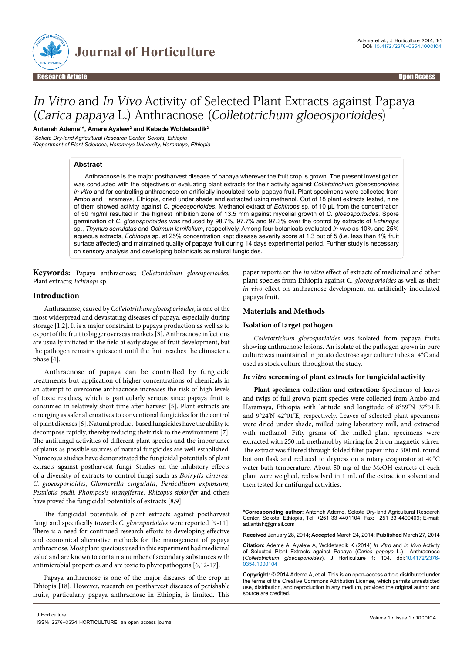

# In Vitro and In Vivo Activity of Selected Plant Extracts against Papaya (Carica papaya L.) Anthracnose (Colletotrichum gloeosporioides)

**Anteneh Ademe1 \*, Amare Ayalew2 and Kebede Woldetsadik2**

*1 Sekota Dry-land Agricultural Research Center, Sekota, Ethiopia* 

*2 Department of Plant Sciences, Haramaya University, Haramaya, Ethiopia*

#### **Abstract**

Anthracnose is the major postharvest disease of papaya wherever the fruit crop is grown. The present investigation was conducted with the objectives of evaluating plant extracts for their activity against *Colletotrichum gloeosporioides in vitro* and for controlling anthracnose on artificially inoculated 'solo' papaya fruit. Plant specimens were collected from Ambo and Haramaya, Ethiopia, dried under shade and extracted using methanol. Out of 18 plant extracts tested, nine of them showed activity against *C. gloeosporioides*. Methanol extract of *Echinops* sp. of 10 µL from the concentration of 50 mg/ml resulted in the highest inhibition zone of 13.5 mm against mycelial growth of *C. gloeosporioides*. Spore germination of *C. gloeosporioides* was reduced by 98.7%, 97.7% and 97.3% over the control by extracts of *Echinops* sp., *Thymus serrulatus* and *Ocimum lamifolium*, respectively. Among four botanicals evaluated *in vivo* as 10% and 25% aqueous extracts, *Echinops* sp. at 25% concentration kept disease severity score at 1.3 out of 5 (i.e. less than 1% fruit surface affected) and maintained quality of papaya fruit during 14 days experimental period. Further study is necessary on sensory analysis and developing botanicals as natural fungicides.

**Keywords:** Papaya anthracnose; *Colletotrichum gloeosporioides;* Plant extracts; *Echinops* sp.

#### **Introduction**

Anthracnose, caused by *Colletotrichum gloeosporioides*, is one of the most widespread and devastating diseases of papaya, especially during storage [1,2]. It is a major constraint to papaya production as well as to export of the fruit to bigger overseas markets [3]. Anthracnose infections are usually initiated in the field at early stages of fruit development, but the pathogen remains quiescent until the fruit reaches the climacteric phase [4].

Anthracnose of papaya can be controlled by fungicide treatments but application of higher concentrations of chemicals in an attempt to overcome anthracnose increases the risk of high levels of toxic residues, which is particularly serious since papaya fruit is consumed in relatively short time after harvest [5]. Plant extracts are emerging as safer alternatives to conventional fungicides for the control of plant diseases [6]. Natural product-based fungicides have the ability to decompose rapidly, thereby reducing their risk to the environment [7]. The antifungal activities of different plant species and the importance of plants as possible sources of natural fungicides are well established. Numerous studies have demonstrated the fungicidal potentials of plant extracts against postharvest fungi. Studies on the inhibitory effects of a diversity of extracts to control fungi such as *Botrytis cinerea*, *C. gloeosporioides*, *Glomerella cingulata*, *Penicillium expansum*, *Pestalotia psidii*, *Phomposis mangiferae*, *Rhizopus stolonifer* and others have proved the fungicidal potentials of extracts [8,9].

The fungicidal potentials of plant extracts against postharvest fungi and specifically towards *C. gloeosporioides* were reported [9-11]. There is a need for continued research efforts to developing effective and economical alternative methods for the management of papaya anthracnose. Most plant specious used in this experiment had medicinal value and are known to contain a number of secondary substances with antimicrobial properties and are toxic to phytopathogens [6,12-17].

Papaya anthracnose is one of the major diseases of the crop in Ethiopia [18]. However, research on postharvest diseases of perishable fruits, particularly papaya anthracnose in Ethiopia, is limited. This paper reports on the *in vitro* effect of extracts of medicinal and other plant species from Ethiopia against *C. gloeosporioides* as well as their *in vivo* effect on anthracnose development on artificially inoculated papaya fruit.

#### **Materials and Methods**

#### **Isolation of target pathogen**

*Colletotrichum gloeosporioides* was isolated from papaya fruits showing anthracnose lesions. An isolate of the pathogen grown in pure culture was maintained in potato dextrose agar culture tubes at 4°C and used as stock culture throughout the study.

#### *In vitro* **screening of plant extracts for fungicidal activity**

**Plant specimen collection and extraction:** Specimens of leaves and twigs of full grown plant species were collected from Ambo and Haramaya, Ethiopia with latitude and longitude of  [8°59'N 37°51'E](http://tools.wmflabs.org/geohack/geohack.php?pagename=Ambo%2C_Ethiopia¶ms=8_59_N_37_51_E_)  and  [9°24'N 42°01'E](http://tools.wmflabs.org/geohack/geohack.php?pagename=Alemaya¶ms=9_24_N_42_01_E_region:ET-OR_type:city(15317)), respectively. Leaves of selected plant specimens were dried under shade, milled using laboratory mill, and extracted with methanol. Fifty grams of the milled plant specimens were extracted with 250 mL methanol by stirring for 2 h on magnetic stirrer. The extract was filtered through folded filter paper into a 500 mL round bottom flask and reduced to dryness on a rotary evaporator at 40°C water bath temperature. About 50 mg of the MeOH extracts of each plant were weighed, redissolved in 1 mL of the extraction solvent and then tested for antifungal activities.

**\*Corresponding author:** Anteneh Ademe, Sekota Dry-land Agricultural Research Center, Sekota, Ethiopia, Tel: +251 33 4401104; Fax: +251 33 4400409; E-mail: ad.antish@gmail.com

**Received** January 28, 2014; **Accepted** March 24, 2014; **Published** March 27, 2014

**Citation:** Ademe A, Ayalew A, Woldetsadik K (2014) *In Vitro* and *In Vivo* Activity of Selected Plant Extracts against Papaya (*Carica papaya* L.) Anthracnose (*Colletotrichum gloeosporioides*). J Horticulture 1: 104. doi:10.4172/2376- 0354.1000104

**Copyright:** © 2014 Ademe A, et al. This is an open-access article distributed under the terms of the Creative Commons Attribution License, which permits unrestricted use, distribution, and reproduction in any medium, provided the original author and source are credited.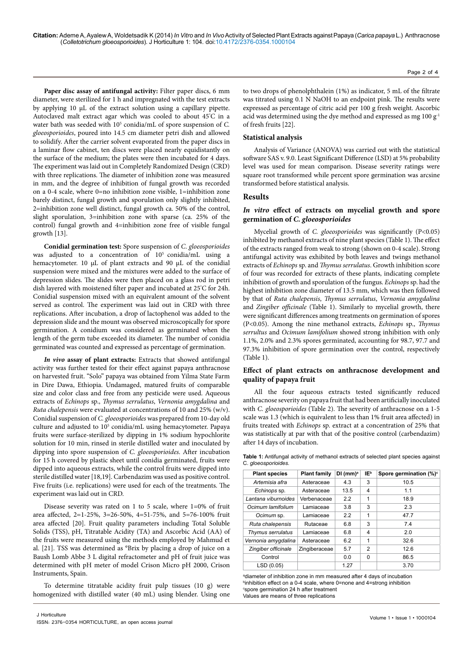**Citation:** Ademe A, Ayalew A, Woldetsadik K (2014) *In Vitro* and *In Vivo* Activity of Selected Plant Extracts against Papaya (*Carica papaya* L.) Anthracnose (*Colletotrichum gloeosporioides*). J Horticulture 1: 104. doi:10.4172/2376-0354.1000104

Paper disc assay of antifungal activity: Filter paper discs, 6 mm diameter, were sterilized for 1 h and impregnated with the test extracts by applying 10 µL of the extract solution using a capillary pipette. Autoclaved malt extract agar which was cooled to about 45° C in a water bath was seeded with 10<sup>5</sup> conidia/mL of spore suspension of *C*. *gloeosporioides*, poured into 14.5 cm diameter petri dish and allowed to solidify. After the carrier solvent evaporated from the paper discs in a laminar flow cabinet, ten discs were placed nearly equidistantly on the surface of the medium; the plates were then incubated for 4 days. The experiment was laid out in Completely Randomized Design (CRD) with three replications. The diameter of inhibition zone was measured in mm, and the degree of inhibition of fungal growth was recorded on a 0-4 scale, where 0=no inhibition zone visible, 1=inhibition zone barely distinct, fungal growth and sporulation only slightly inhibited, 2=inhibition zone well distinct, fungal growth ca. 50% of the control, slight sporulation, 3=inhibition zone with sparse (ca. 25% of the control) fungal growth and 4=inhibition zone free of visible fungal growth [13].

**Conidial germination test:** Spore suspension of *C*. *gloeosporioides* was adjusted to a concentration of  $10^5$  conidia/mL using a hemacytometer. 10 µL of plant extracts and 90 µL of the conidial suspension were mixed and the mixtures were added to the surface of depression slides. The slides were then placed on a glass rod in petri dish layered with moistened filter paper and incubated at 25° C for 24h. Conidial suspension mixed with an equivalent amount of the solvent served as control. The experiment was laid out in CRD with three replications. After incubation, a drop of lactophenol was added to the depression slide and the mount was observed microscopically for spore germination. A conidium was considered as germinated when the length of the germ tube exceeded its diameter. The number of conidia germinated was counted and expressed as percentage of germination.

*In vivo* **assay of plant extracts:** Extracts that showed antifungal activity was further tested for their effect against papaya anthracnose on harvested fruit. "Solo" papaya was obtained from Yilma State Farm in Dire Dawa, Ethiopia. Undamaged, matured fruits of comparable size and color class and free from any pesticide were used. Aqueous extracts of *Echinops* sp., *Thymus serrulatus*, *Vernonia amygdalina* and *Ruta chalepensis* were evaluated at concentrations of 10 and 25% (w/v). Conidial suspension of *C. gloeosporioides* was prepared from 10-day old culture and adjusted to 10<sup>5</sup> conidia/mL using hemacytometer. Papaya fruits were surface-sterilized by dipping in 1% sodium hypochlorite solution for 10 min, rinsed in sterile distilled water and inoculated by dipping into spore suspension of *C. gloeosporioides*. After incubation for 15 h covered by plastic sheet until conidia germinated, fruits were dipped into aqueous extracts, while the control fruits were dipped into sterile distilled water [18,19]. Carbendazim was used as positive control. Five fruits (i.e. replications) were used for each of the treatments. The experiment was laid out in CRD.

Disease severity was rated on 1 to 5 scale, where 1=0% of fruit area affected, 2=1-25%, 3=26-50%, 4=51-75%, and 5=76-100% fruit area affected [20]. Fruit quality parameters including Total Soluble Solids (TSS), pH, Titratable Acidity (TA) and Ascorbic Acid (AA) of the fruits were measured using the methods employed by Mahmud et al. [21]. TSS was determined as °Brix by placing a drop of juice on a Baush Lomb Abbe 3 L digital refractometer and pH of fruit juice was determined with pH meter of model Crison Micro pH 2000, Crison Instruments, Spain.

To determine titratable acidity fruit pulp tissues (10 g) were homogenized with distilled water (40 mL) using blender. Using one Page 2 of 4

to two drops of phenolphthalein (1%) as indicator, 5 mL of the filtrate was titrated using 0.1 N NaOH to an endpoint pink. The results were expressed as percentage of citric acid per 100 g fresh weight. Ascorbic acid was determined using the dye method and expressed as mg  $100 g^{-1}$ of fresh fruits [22].

### **Statistical analysis**

Analysis of Variance (ANOVA) was carried out with the statistical software SAS v. 9.0. Least Significant Difference (LSD) at 5% probability level was used for mean comparison. Disease severity ratings were square root transformed while percent spore germination was arcsine transformed before statistical analysis.

#### **Results**

# *In vitro* **effect of extracts on mycelial growth and spore germination of** *C. gloeosporioides*

Mycelial growth of *C. gloeosporioides* was significantly (P<0.05) inhibited by methanol extracts of nine plant species (Table 1). The effect of the extracts ranged from weak to strong (shown on 0-4 scale). Strong antifungal activity was exhibited by both leaves and twings methanol extracts of *Echinops* sp. and *Thymus serrulatus*. Growth inhibition score of four was recorded for extracts of these plants, indicating complete inhibition of growth and sporulation of the fungus. *Echinops* sp. had the highest inhibition zone diameter of 13.5 mm, which was then followed by that of *Ruta chalepensis*, *Thymus serrulatus*, *Vernonia amygdalina* and *Zingiber officinale* (Table 1). Similarly to mycelial growth, there were significant differences among treatments on germination of spores (P<0.05). Among the nine methanol extracts, *Echinops* sp., *Thymus serrultus* and *Ocimum lamifolium* showed strong inhibition with only 1.1%, 2.0% and 2.3% spores germinated, accounting for 98.7, 97.7 and 97.3% inhibition of spore germination over the control, respectively (Table 1).

# **Effect of plant extracts on anthracnose development and quality of papaya fruit**

All the four aqueous extracts tested significantly reduced anthracnose severity on papaya fruit that had been artificially inoculated with *C. gloeosporioides* (Table 2). The severity of anthracnose on a 1-5 scale was 1.3 (which is equivalent to less than 1% fruit area affected) in fruits treated with *Echinops* sp. extract at a concentration of 25% that was statistically at par with that of the positive control (carbendazim) after 14 days of incubation.

| <b>Table 1:</b> Antifungal activity of methanol extracts of selected plant species against |  |
|--------------------------------------------------------------------------------------------|--|
| C. gloeosporioides.                                                                        |  |

| <b>Plant species</b> | <b>Plant family</b> | $DI$ (mm) <sup>a</sup> | IE <sub>p</sub> | Spore germination (%) <sup>c</sup> |  |  |
|----------------------|---------------------|------------------------|-----------------|------------------------------------|--|--|
| Artemisia afra       | Asteraceae          | 4.3                    | 3               | 10.5                               |  |  |
| Echinops sp.         | Asteraceae          | 13.5                   | 4               | 1.1                                |  |  |
| Lantana viburnoides  | Verbenaceae         | 2.2                    | 1               | 18.9                               |  |  |
| Ocimum lamifolium    | Lamiaceae           | 3.8                    | 3               | 2.3                                |  |  |
| Ocimum sp.           | Lamiaceae           | 2.2                    | 1               | 47.7                               |  |  |
| Ruta chalepensis     | Rutaceae            | 6.8                    | 3               | 7.4                                |  |  |
| Thymus serrulatus    | Lamiaceae           | 6.8                    | $\overline{4}$  | 2.0                                |  |  |
| Vernonia amygdalina  | Asteraceae          | 6.2                    | 1               | 32.6                               |  |  |
| Zingiber officinale  | Zingiberaceae       | 5.7                    | 2               | 12.6                               |  |  |
| Control              |                     | 0.0                    | O               | 86.5                               |  |  |
| LSD (0.05)           |                     | 1.27                   |                 | 3.70                               |  |  |

<sup>a</sup>diameter of inhibition zone in mm measured after 4 days of incubation b inhibition effect on a 0-4 scale, where 0=none and 4=strong inhibition c spore germination 24 h after treatment Values are means of three replications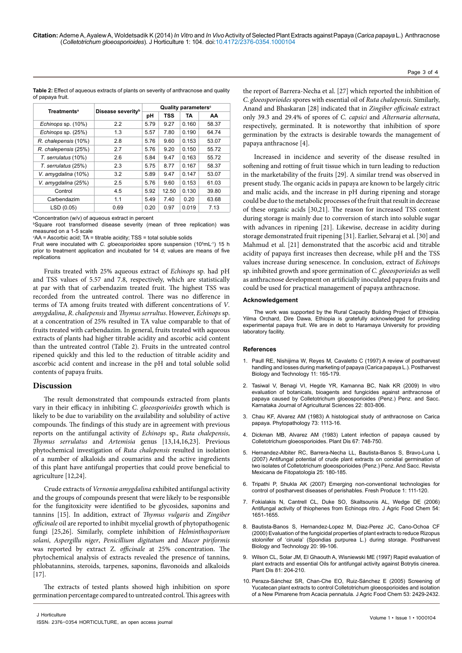**Table 2:** Effect of aqueous extracts of plants on severity of anthracnose and quality of papaya fruit.

| <b>Treatments<sup>a</sup></b> |                               | Quality parameters <sup>c</sup> |            |       |       |  |
|-------------------------------|-------------------------------|---------------------------------|------------|-------|-------|--|
|                               | Disease severity <sup>b</sup> | рH                              | <b>TSS</b> | TA    | AA    |  |
| Echinops sp. (10%)            | 2.2                           | 5.79                            | 9.27       | 0.160 | 58.37 |  |
| Echinops sp. (25%)            | 1.3                           | 5.57                            | 7.80       | 0.190 | 64.74 |  |
| R. chalepensis (10%)          | 2.8                           | 5.76                            | 9.60       | 0.153 | 53.07 |  |
| R. chalepensis (25%)          | 2.7                           | 5.76                            | 9.20       | 0.150 | 55.72 |  |
| T. serrulatus (10%)           | 2.6                           | 5.84                            | 9.47       | 0.163 | 55.72 |  |
| T. serrulatus (25%)           | 2.3                           | 5.75                            | 8.77       | 0.167 | 58.37 |  |
| V. amygdalina (10%)           | 3.2                           | 5.89                            | 9.47       | 0.147 | 53.07 |  |
| V. amygdalina (25%)           | 2.5                           | 5.76                            | 9.60       | 0.153 | 61.03 |  |
| Control                       | 4.5                           | 5.92                            | 12.50      | 0.130 | 39.80 |  |
| Carbendazim                   | 1.1                           | 5.49                            | 7.40       | 0.20  | 63.68 |  |
| LSD (0.05)                    | 0.69                          | 0.20                            | 0.97       | 0.019 | 7.13  |  |

a Concentration (w/v) of aqueous extract in percent

b Square root transformed disease severity (mean of three replication) was measured on a 1-5 scale

c AA = Ascorbic acid; TA = titrable acidity; TSS = total soluble solids

Fruit were inoculated with *C. gloeosporioides* spore suspension (10<sup>5</sup>mL<sup>-1</sup>) 15 h prior to treatment application and incubated for 14 d; values are means of five replications

Fruits treated with 25% aqueous extract of *Echinops* sp. had pH and TSS values of 5.57 and 7.8, respectively, which are statistically at par with that of carbendazim treated fruit. The highest TSS was recorded from the untreated control. There was no difference in terms of TA among fruits treated with different concentrations of *V*. *amygdalina*, *R*. *chalepensis* and *Thymus serrultus*. However, *Echinops* sp. at a concentration of 25% resulted in TA value comparable to that of fruits treated with carbendazim. In general, fruits treated with aqueous extracts of plants had higher titrable acidity and ascorbic acid content than the untreated control (Table 2). Fruits in the untreated control ripened quickly and this led to the reduction of titrable acidity and ascorbic acid content and increase in the pH and total soluble solid contents of papaya fruits.

#### **Discussion**

The result demonstrated that compounds extracted from plants vary in their efficacy in inhibiting *C*. *gloeosporioides* growth which is likely to be due to variability on the availability and solubility of active compounds. The findings of this study are in agreement with previous reports on the antifungal activity of *Echinops* sp., *Ruta chalepensis*, *Thymus serrulatus* and *Artemisia* genus [13,14,16,23]. Previous phytochemical investigation of *Ruta chalepensis* resulted in isolation of a number of alkaloids and coumarins and the active ingredients of this plant have antifungal properties that could prove beneficial to agriculture [12,24].

Crude extracts of *Vernonia amygdalina* exhibited antifungal activity and the groups of compounds present that were likely to be responsible for the fungitoxicity were identified to be glycosides, saponins and tannins [15]. In addition, extract of *Thymus vulgaris* and *Zingiber officinale* oil are reported to inhibit mycelial growth of phytopathogenic fungi [25,26]. Similarly, complete inhibition of *Helminthosporium solani*, *Aspergillu niger*, *Penicillium digitatum* and *Mucor piriformis* was reported by extract Z. *officinale* at 25% concentration. The phytochemical analysis of extracts revealed the presence of tannins, phlobatannins, steroids, tarpenes, saponins, flavonoids and alkaloids [17].

The extracts of tested plants showed high inhibition on spore germination percentage compared to untreated control. This agrees with

the report of Barrera-Necha et al. [27] which reported the inhibition of *C*. *gloeosporioides* spores with essential oil of *Ruta chalepensis*. Similarly, Anand and Bhaskaran [28] indicated that in *Zingiber officinale* extract only 39.3 and 29.4% of spores of *C*. *capsici* and *Alternaria alternata*, respectively, germinated. It is noteworthy that inhibition of spore germination by the extracts is desirable towards the management of papaya anthracnose [4].

Page 3 of 4

Increased in incidence and severity of the disease resulted in softening and rotting of fruit tissue which in turn leading to reduction in the marketability of the fruits [29]. A similar trend was observed in present study. The organic acids in papaya are known to be largely citric and malic acids, and the increase in pH during ripening and storage could be due to the metabolic processes of the fruit that result in decrease of these organic acids [30,21]. The reason for increased TSS content during storage is mainly due to conversion of starch into soluble sugar with advances in ripening [21]. Likewise, decrease in acidity during storage demonstrated fruit ripening [31]. Earlier, Selvaraj et al. [30] and Mahmud et al. [21] demonstrated that the ascorbic acid and titrable acidity of papaya first increases then decrease, while pH and the TSS values increase during senescence. In conclusion, extract of *Echinops* sp. inhibited growth and spore germination of *C. gloeosporioides* as well as anthracnose development on artificially inoculated papaya fruits and could be used for practical management of papaya anthracnose.

#### **Acknowledgement**

The work was supported by the Rural Capacity Building Project of Ethiopia. Yilma Orchard, Dire Dawa, Ethiopia is gratefully acknowledged for providing experimental papaya fruit. We are in debt to Haramaya University for providing laboratory facility.

#### **References**

- 1. [Paull RE, Nishijima W, Reyes M, Cavaletto C \(1997\) A review of postharvest](http://www.sciencedirect.com/science/article/pii/S0925521497000288) [handling and losses during marketing of papaya \(Carica papaya L.\). Postharvest](http://www.sciencedirect.com/science/article/pii/S0925521497000288)  [Biology and Technology 11: 165-179.](http://www.sciencedirect.com/science/article/pii/S0925521497000288)
- 2. [Tasiwal V, Benagi VI, Hegde YR, Kamanna BC, Naik KR \(2009\) In vitro](http://14.139.155.167/test5/index.php/kjas/article/view/1496) [evaluation of botanicals, bioagents and fungicides against anthracnose of](http://14.139.155.167/test5/index.php/kjas/article/view/1496) [papaya caused by Colletotrichum gloeosporioides \(Penz.\) Penz. and Sacc.](http://14.139.155.167/test5/index.php/kjas/article/view/1496) [Karnataka Journal of Agricultural Sciences 22: 803-806.](http://14.139.155.167/test5/index.php/kjas/article/view/1496)
- 3. [Chau KF, Alvarez AM \(1983\) A histological study of anthracnose on Carica](https://www.apsnet.org/publications/phytopathology/backissues/Documents/1983Abstracts/Phyto73_1113.htm) [papaya. Phytopathology 73: 1113-16.](https://www.apsnet.org/publications/phytopathology/backissues/Documents/1983Abstracts/Phyto73_1113.htm)
- [Dickman MB, Alvarez AM \(1983\) Latent infection of papaya caused by](http://www.apsnet.org/publications/PlantDisease/BackIssues/Documents/1983Abstracts/PD_67_748.htm) [Colletotrichum gloeosporioides. Plant Dis 67: 748-750.](http://www.apsnet.org/publications/PlantDisease/BackIssues/Documents/1983Abstracts/PD_67_748.htm)
- 5. [Hernandez-Albiter RC, Barrera-Necha LL, Bautista-Banos S, Bravo-Luna L](http://www.redalyc.org/pdf/612/61225213.pdf) [\(2007\) Antifungal potential of crude plant extracts on conidial germination of](http://www.redalyc.org/pdf/612/61225213.pdf) [two isolates of Colletotrichum gloeosporioides \(Penz.\) Penz. And Sacc. Revista](http://www.redalyc.org/pdf/612/61225213.pdf)  [Mexicana de Fitopatologia 25: 180-185.](http://www.redalyc.org/pdf/612/61225213.pdf)
- 6. [Tripathi P, Shukla AK \(2007\) Emerging non-conventional technologies for](http://ashukla21.tripod.com/2007fp.pdf) [control of postharvest diseases of perishables. Fresh Produce 1: 111-120.](http://ashukla21.tripod.com/2007fp.pdf)
- 7. [Fokialakis N, Cantrell CL, Duke SO, Skaltsounis AL, Wedge DE \(2006\)](http://www.ncbi.nlm.nih.gov/pubmed/16506815) [Antifungal activity of thiophenes from Echinops ritro. J Agric Food Chem 54:](http://www.ncbi.nlm.nih.gov/pubmed/16506815) [1651-1655.](http://www.ncbi.nlm.nih.gov/pubmed/16506815)
- 8. [Bautista-Banos S, Hernandez-Lopez M, Diaz-Perez JC, Cano-Ochoa CF](http://www.sciencedirect.com/science/article/pii/S0925521400001095) [\(2000\) Evaluation of the fungicidal properties of plant extracts to reduce Rizopus](http://www.sciencedirect.com/science/article/pii/S0925521400001095)  [stolonifer of 'ciruela' \(Spondias purpurea L.\) during storage. Postharvest](http://www.sciencedirect.com/science/article/pii/S0925521400001095)  [Biology and Technology 20: 99-106.](http://www.sciencedirect.com/science/article/pii/S0925521400001095)
- 9. Wilson CL, Solar JM, El Ghaouth A, Wisniewski ME (1997) Rapid evaluation of plant extracts and essential Oils for antifungal activity against Botrytis cinerea. Plant Dis 81: 204-210.
- 10. [Peraza-Sánchez SR, Chan-Che EO, Ruiz-Sánchez E \(2005\) Screening of](http://www.ncbi.nlm.nih.gov/pubmed/15796574) [Yucatecan plant extracts to control Colletotrichum gloeosporioides and isolation](http://www.ncbi.nlm.nih.gov/pubmed/15796574)  [of a New Pimarene from Acacia pennatula. J Agric Food Chem 53: 2429-2432.](http://www.ncbi.nlm.nih.gov/pubmed/15796574)